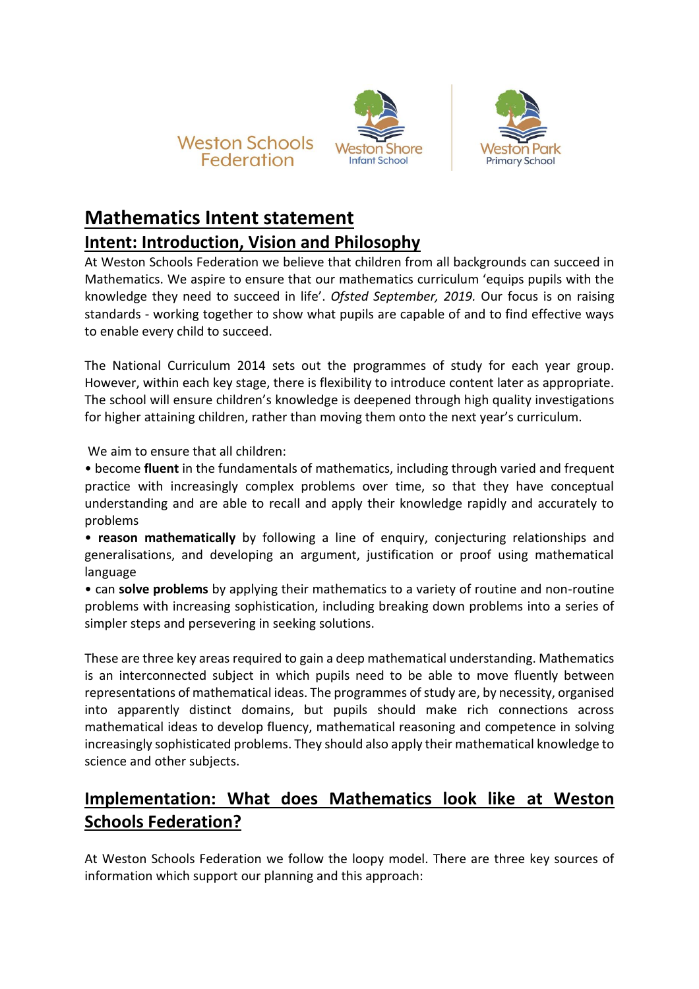





# **Mathematics Intent statement**

### **Intent: Introduction, Vision and Philosophy**

At Weston Schools Federation we believe that children from all backgrounds can succeed in Mathematics. We aspire to ensure that our mathematics curriculum 'equips pupils with the knowledge they need to succeed in life'. *Ofsted September, 2019.* Our focus is on raising standards - working together to show what pupils are capable of and to find effective ways to enable every child to succeed.

The National Curriculum 2014 sets out the programmes of study for each year group. However, within each key stage, there is flexibility to introduce content later as appropriate. The school will ensure children's knowledge is deepened through high quality investigations for higher attaining children, rather than moving them onto the next year's curriculum.

We aim to ensure that all children:

• become **fluent** in the fundamentals of mathematics, including through varied and frequent practice with increasingly complex problems over time, so that they have conceptual understanding and are able to recall and apply their knowledge rapidly and accurately to problems

• **reason mathematically** by following a line of enquiry, conjecturing relationships and generalisations, and developing an argument, justification or proof using mathematical language

• can **solve problems** by applying their mathematics to a variety of routine and non-routine problems with increasing sophistication, including breaking down problems into a series of simpler steps and persevering in seeking solutions.

These are three key areas required to gain a deep mathematical understanding. Mathematics is an interconnected subject in which pupils need to be able to move fluently between representations of mathematical ideas. The programmes of study are, by necessity, organised into apparently distinct domains, but pupils should make rich connections across mathematical ideas to develop fluency, mathematical reasoning and competence in solving increasingly sophisticated problems. They should also apply their mathematical knowledge to science and other subjects.

## **Implementation: What does Mathematics look like at Weston Schools Federation?**

At Weston Schools Federation we follow the loopy model. There are three key sources of information which support our planning and this approach: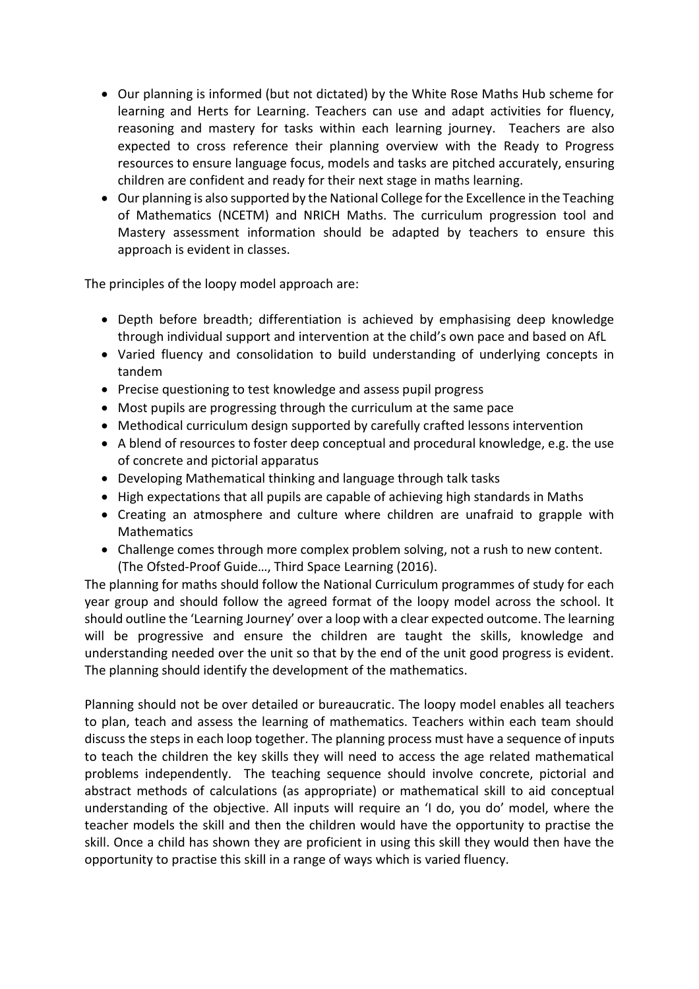- Our planning is informed (but not dictated) by the White Rose Maths Hub scheme for learning and Herts for Learning. Teachers can use and adapt activities for fluency, reasoning and mastery for tasks within each learning journey. Teachers are also expected to cross reference their planning overview with the Ready to Progress resources to ensure language focus, models and tasks are pitched accurately, ensuring children are confident and ready for their next stage in maths learning.
- Our planning is also supported by the National College for the Excellence in the Teaching of Mathematics (NCETM) and NRICH Maths. The curriculum progression tool and Mastery assessment information should be adapted by teachers to ensure this approach is evident in classes.

The principles of the loopy model approach are:

- Depth before breadth; differentiation is achieved by emphasising deep knowledge through individual support and intervention at the child's own pace and based on AfL
- Varied fluency and consolidation to build understanding of underlying concepts in tandem
- Precise questioning to test knowledge and assess pupil progress
- Most pupils are progressing through the curriculum at the same pace
- Methodical curriculum design supported by carefully crafted lessons intervention
- A blend of resources to foster deep conceptual and procedural knowledge, e.g. the use of concrete and pictorial apparatus
- Developing Mathematical thinking and language through talk tasks
- High expectations that all pupils are capable of achieving high standards in Maths
- Creating an atmosphere and culture where children are unafraid to grapple with Mathematics
- Challenge comes through more complex problem solving, not a rush to new content. (The Ofsted-Proof Guide…, Third Space Learning (2016).

The planning for maths should follow the National Curriculum programmes of study for each year group and should follow the agreed format of the loopy model across the school. It should outline the 'Learning Journey' over a loop with a clear expected outcome. The learning will be progressive and ensure the children are taught the skills, knowledge and understanding needed over the unit so that by the end of the unit good progress is evident. The planning should identify the development of the mathematics.

Planning should not be over detailed or bureaucratic. The loopy model enables all teachers to plan, teach and assess the learning of mathematics. Teachers within each team should discuss the steps in each loop together. The planning process must have a sequence of inputs to teach the children the key skills they will need to access the age related mathematical problems independently. The teaching sequence should involve concrete, pictorial and abstract methods of calculations (as appropriate) or mathematical skill to aid conceptual understanding of the objective. All inputs will require an 'I do, you do' model, where the teacher models the skill and then the children would have the opportunity to practise the skill. Once a child has shown they are proficient in using this skill they would then have the opportunity to practise this skill in a range of ways which is varied fluency.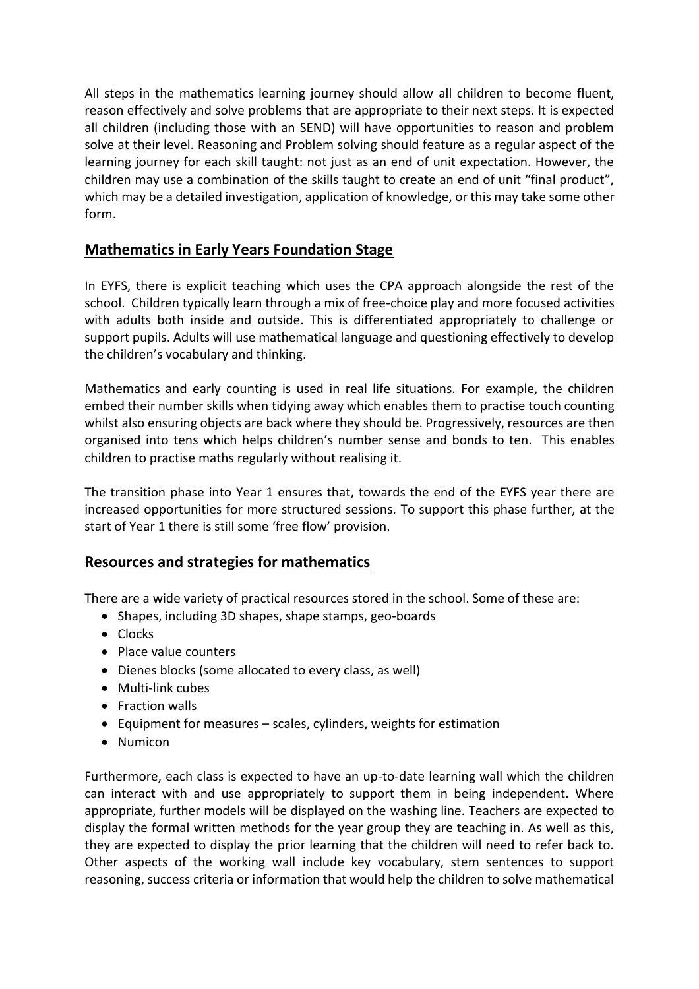All steps in the mathematics learning journey should allow all children to become fluent, reason effectively and solve problems that are appropriate to their next steps. It is expected all children (including those with an SEND) will have opportunities to reason and problem solve at their level. Reasoning and Problem solving should feature as a regular aspect of the learning journey for each skill taught: not just as an end of unit expectation. However, the children may use a combination of the skills taught to create an end of unit "final product", which may be a detailed investigation, application of knowledge, or this may take some other form.

#### **Mathematics in Early Years Foundation Stage**

In EYFS, there is explicit teaching which uses the CPA approach alongside the rest of the school. Children typically learn through a mix of free-choice play and more focused activities with adults both inside and outside. This is differentiated appropriately to challenge or support pupils. Adults will use mathematical language and questioning effectively to develop the children's vocabulary and thinking.

Mathematics and early counting is used in real life situations. For example, the children embed their number skills when tidying away which enables them to practise touch counting whilst also ensuring objects are back where they should be. Progressively, resources are then organised into tens which helps children's number sense and bonds to ten. This enables children to practise maths regularly without realising it.

The transition phase into Year 1 ensures that, towards the end of the EYFS year there are increased opportunities for more structured sessions. To support this phase further, at the start of Year 1 there is still some 'free flow' provision.

#### **Resources and strategies for mathematics**

There are a wide variety of practical resources stored in the school. Some of these are:

- Shapes, including 3D shapes, shape stamps, geo-boards
- Clocks
- Place value counters
- Dienes blocks (some allocated to every class, as well)
- Multi-link cubes
- Fraction walls
- Equipment for measures scales, cylinders, weights for estimation
- Numicon

Furthermore, each class is expected to have an up-to-date learning wall which the children can interact with and use appropriately to support them in being independent. Where appropriate, further models will be displayed on the washing line. Teachers are expected to display the formal written methods for the year group they are teaching in. As well as this, they are expected to display the prior learning that the children will need to refer back to. Other aspects of the working wall include key vocabulary, stem sentences to support reasoning, success criteria or information that would help the children to solve mathematical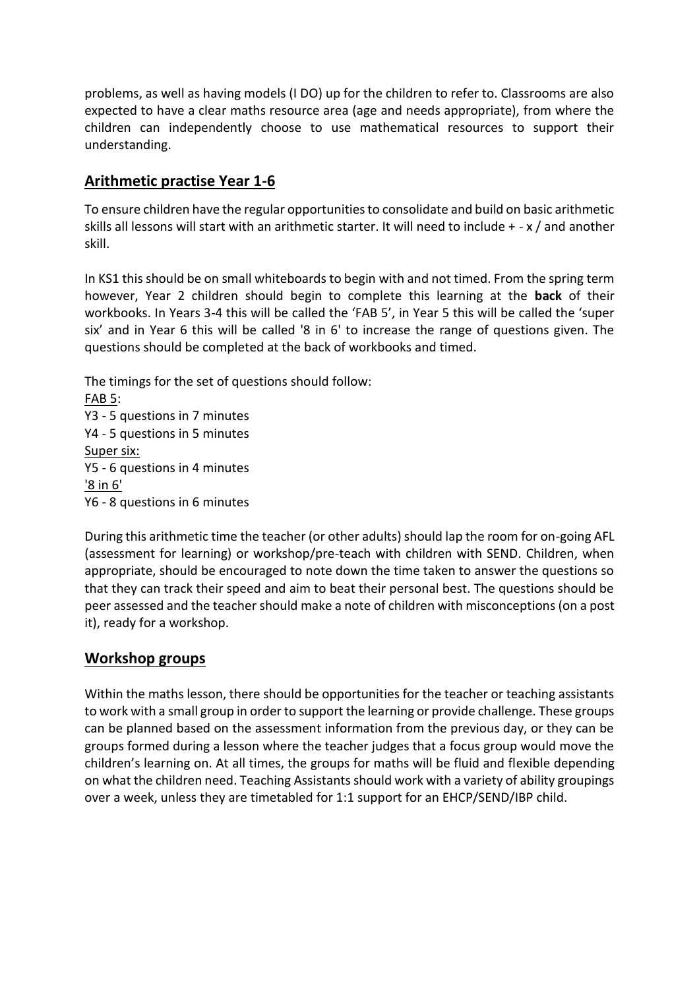problems, as well as having models (I DO) up for the children to refer to. Classrooms are also expected to have a clear maths resource area (age and needs appropriate), from where the children can independently choose to use mathematical resources to support their understanding.

#### **Arithmetic practise Year 1-6**

To ensure children have the regular opportunities to consolidate and build on basic arithmetic skills all lessons will start with an arithmetic starter. It will need to include + - x / and another skill.

In KS1 this should be on small whiteboards to begin with and not timed. From the spring term however, Year 2 children should begin to complete this learning at the **back** of their workbooks. In Years 3-4 this will be called the 'FAB 5', in Year 5 this will be called the 'super six' and in Year 6 this will be called '8 in 6' to increase the range of questions given. The questions should be completed at the back of workbooks and timed.

The timings for the set of questions should follow: FAB 5: Y3 - 5 questions in 7 minutes Y4 - 5 questions in 5 minutes Super six: Y5 - 6 questions in 4 minutes '8 in 6' Y6 - 8 questions in 6 minutes

During this arithmetic time the teacher (or other adults) should lap the room for on-going AFL (assessment for learning) or workshop/pre-teach with children with SEND. Children, when appropriate, should be encouraged to note down the time taken to answer the questions so that they can track their speed and aim to beat their personal best. The questions should be peer assessed and the teacher should make a note of children with misconceptions (on a post it), ready for a workshop.

#### **Workshop groups**

Within the maths lesson, there should be opportunities for the teacher or teaching assistants to work with a small group in order to support the learning or provide challenge. These groups can be planned based on the assessment information from the previous day, or they can be groups formed during a lesson where the teacher judges that a focus group would move the children's learning on. At all times, the groups for maths will be fluid and flexible depending on what the children need. Teaching Assistants should work with a variety of ability groupings over a week, unless they are timetabled for 1:1 support for an EHCP/SEND/IBP child.